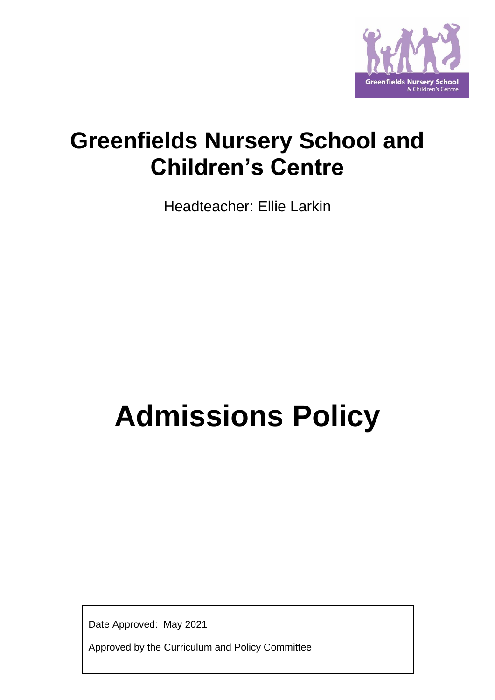

# **Greenfields Nursery School and Children's Centre**

Headteacher: Ellie Larkin

# **Admissions Policy**

Date Approved: May 2021

Approved by the Curriculum and Policy Committee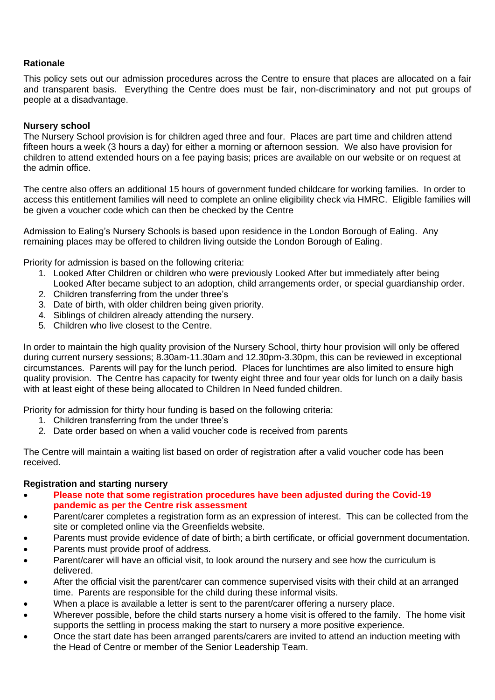## **Rationale**

This policy sets out our admission procedures across the Centre to ensure that places are allocated on a fair and transparent basis. Everything the Centre does must be fair, non-discriminatory and not put groups of people at a disadvantage.

#### **Nursery school**

The Nursery School provision is for children aged three and four. Places are part time and children attend fifteen hours a week (3 hours a day) for either a morning or afternoon session. We also have provision for children to attend extended hours on a fee paying basis; prices are available on our website or on request at the admin office.

The centre also offers an additional 15 hours of government funded childcare for working families. In order to access this entitlement families will need to complete an online eligibility check via HMRC. Eligible families will be given a voucher code which can then be checked by the Centre

Admission to Ealing's Nursery Schools is based upon residence in the London Borough of Ealing. Any remaining places may be offered to children living outside the London Borough of Ealing.

Priority for admission is based on the following criteria:

- 1. Looked After Children or children who were previously Looked After but immediately after being Looked After became subject to an adoption, child arrangements order, or special guardianship order.
- 2. Children transferring from the under three's
- 3. Date of birth, with older children being given priority.
- 4. Siblings of children already attending the nursery.
- 5. Children who live closest to the Centre.

In order to maintain the high quality provision of the Nursery School, thirty hour provision will only be offered during current nursery sessions; 8.30am-11.30am and 12.30pm-3.30pm, this can be reviewed in exceptional circumstances. Parents will pay for the lunch period. Places for lunchtimes are also limited to ensure high quality provision. The Centre has capacity for twenty eight three and four year olds for lunch on a daily basis with at least eight of these being allocated to Children In Need funded children.

Priority for admission for thirty hour funding is based on the following criteria:

- 1. Children transferring from the under three's
- 2. Date order based on when a valid voucher code is received from parents

The Centre will maintain a waiting list based on order of registration after a valid voucher code has been received.

#### **Registration and starting nursery**

- **Please note that some registration procedures have been adjusted during the Covid-19 pandemic as per the Centre risk assessment**
- Parent/carer completes a registration form as an expression of interest. This can be collected from the site or completed online via the Greenfields website.
- Parents must provide evidence of date of birth; a birth certificate, or official government documentation.
- Parents must provide proof of address.
- Parent/carer will have an official visit, to look around the nursery and see how the curriculum is delivered.
- After the official visit the parent/carer can commence supervised visits with their child at an arranged time. Parents are responsible for the child during these informal visits.
- When a place is available a letter is sent to the parent/carer offering a nursery place.
- Wherever possible, before the child starts nursery a home visit is offered to the family. The home visit supports the settling in process making the start to nursery a more positive experience.
- Once the start date has been arranged parents/carers are invited to attend an induction meeting with the Head of Centre or member of the Senior Leadership Team.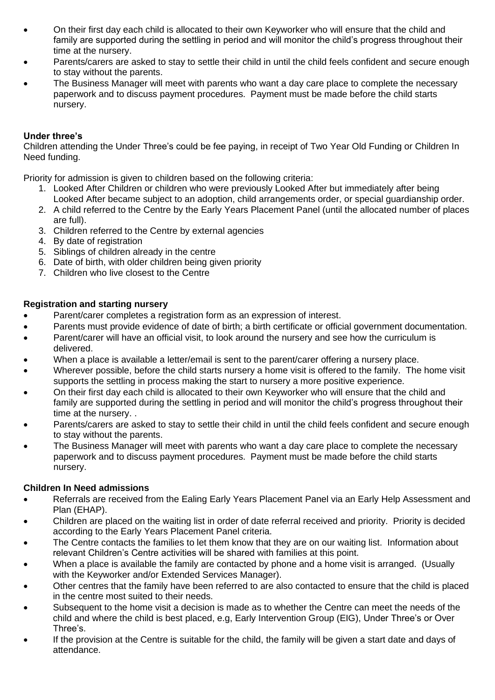- On their first day each child is allocated to their own Keyworker who will ensure that the child and family are supported during the settling in period and will monitor the child's progress throughout their time at the nursery.
- Parents/carers are asked to stay to settle their child in until the child feels confident and secure enough to stay without the parents.
- The Business Manager will meet with parents who want a day care place to complete the necessary paperwork and to discuss payment procedures. Payment must be made before the child starts nursery.

# **Under three's**

Children attending the Under Three's could be fee paying, in receipt of Two Year Old Funding or Children In Need funding.

Priority for admission is given to children based on the following criteria:

- 1. Looked After Children or children who were previously Looked After but immediately after being Looked After became subject to an adoption, child arrangements order, or special guardianship order.
- 2. A child referred to the Centre by the Early Years Placement Panel (until the allocated number of places are full).
- 3. Children referred to the Centre by external agencies
- 4. By date of registration
- 5. Siblings of children already in the centre
- 6. Date of birth, with older children being given priority
- 7. Children who live closest to the Centre

# **Registration and starting nursery**

- Parent/carer completes a registration form as an expression of interest.
- Parents must provide evidence of date of birth; a birth certificate or official government documentation.
- Parent/carer will have an official visit, to look around the nursery and see how the curriculum is delivered.
- When a place is available a letter/email is sent to the parent/carer offering a nursery place.
- Wherever possible, before the child starts nursery a home visit is offered to the family. The home visit supports the settling in process making the start to nursery a more positive experience.
- On their first day each child is allocated to their own Keyworker who will ensure that the child and family are supported during the settling in period and will monitor the child's progress throughout their time at the nursery. .
- Parents/carers are asked to stay to settle their child in until the child feels confident and secure enough to stay without the parents.
- The Business Manager will meet with parents who want a day care place to complete the necessary paperwork and to discuss payment procedures. Payment must be made before the child starts nursery.

## **Children In Need admissions**

- Referrals are received from the Ealing Early Years Placement Panel via an Early Help Assessment and Plan (EHAP).
- Children are placed on the waiting list in order of date referral received and priority. Priority is decided according to the Early Years Placement Panel criteria.
- The Centre contacts the families to let them know that they are on our waiting list. Information about relevant Children's Centre activities will be shared with families at this point.
- When a place is available the family are contacted by phone and a home visit is arranged. (Usually with the Keyworker and/or Extended Services Manager).
- Other centres that the family have been referred to are also contacted to ensure that the child is placed in the centre most suited to their needs.
- Subsequent to the home visit a decision is made as to whether the Centre can meet the needs of the child and where the child is best placed, e.g, Early Intervention Group (EIG), Under Three's or Over Three's.
- If the provision at the Centre is suitable for the child, the family will be given a start date and days of attendance.